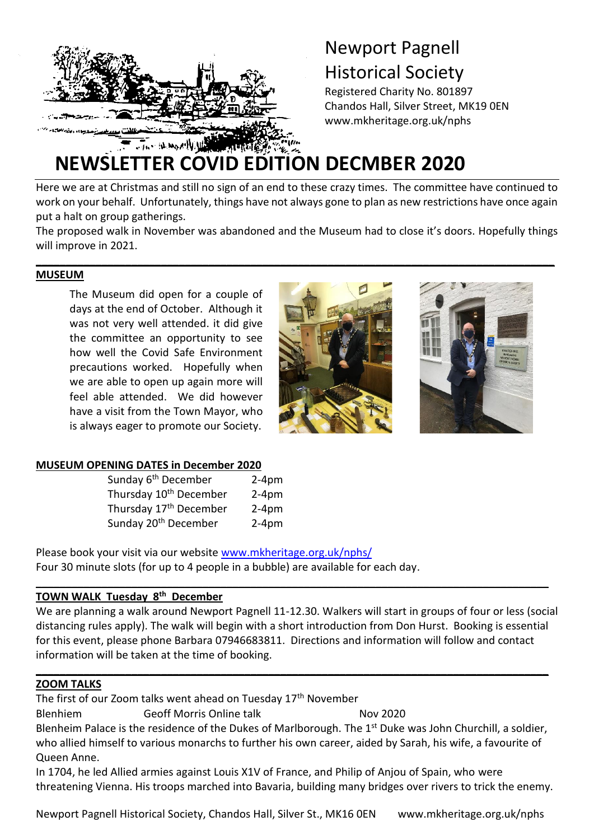

# Newport Pagnell Historical Society

Registered Charity No. 801897 Chandos Hall, Silver Street, MK19 0EN www.mkheritage.org.uk/nphs

# **NEWSLETTER COVID EDITION DECMBER 2020**

Here we are at Christmas and still no sign of an end to these crazy times. The committee have continued to work on your behalf. Unfortunately, things have not always gone to plan as new restrictions have once again put a halt on group gatherings.

The proposed walk in November was abandoned and the Museum had to close it's doors. Hopefully things will improve in 2021.

**\_\_\_\_\_\_\_\_\_\_\_\_\_\_\_\_\_\_\_\_\_\_\_\_\_\_\_\_\_\_\_\_\_\_\_\_\_\_\_\_\_\_\_\_\_\_\_\_\_\_\_\_\_\_\_\_\_\_\_\_\_\_\_\_\_\_\_\_\_\_\_\_\_\_\_\_\_\_\_\_\_\_\_\_\_\_\_**

## **MUSEUM**

The Museum did open for a couple of days at the end of October. Although it was not very well attended. it did give the committee an opportunity to see how well the Covid Safe Environment precautions worked. Hopefully when we are able to open up again more will feel able attended. We did however have a visit from the Town Mayor, who is always eager to promote our Society.





#### **MUSEUM OPENING DATES in December 2020**

| Sunday 6 <sup>th</sup> December    | $2-4pm$ |
|------------------------------------|---------|
| Thursday 10 <sup>th</sup> December | $2-4pm$ |
| Thursday 17 <sup>th</sup> December | $2-4pm$ |
| Sunday 20 <sup>th</sup> December   | $2-4pm$ |

Please book your visit via our website [www.mkheritage.org.uk/nphs/](http://www.mkheritage.org.uk/nphs/) Four 30 minute slots (for up to 4 people in a bubble) are available for each day.

# **TOWN WALK Tuesday 8 th December**

We are planning a walk around Newport Pagnell 11-12.30. Walkers will start in groups of four or less (social distancing rules apply). The walk will begin with a short introduction from Don Hurst. Booking is essential for this event, please phone Barbara 07946683811. Directions and information will follow and contact information will be taken at the time of booking.

**\_\_\_\_\_\_\_\_\_\_\_\_\_\_\_\_\_\_\_\_\_\_\_\_\_\_\_\_\_\_\_\_\_\_\_\_\_\_\_\_\_\_\_\_\_\_\_\_\_\_\_\_\_\_\_\_\_\_\_\_\_\_\_\_\_\_\_\_\_\_\_\_\_\_\_\_\_\_\_\_\_\_\_\_\_\_**

**\_\_\_\_\_\_\_\_\_\_\_\_\_\_\_\_\_\_\_\_\_\_\_\_\_\_\_\_\_\_\_\_\_\_\_\_\_\_\_\_\_\_\_\_\_\_\_\_\_\_\_\_\_\_\_\_\_\_\_\_\_\_\_\_\_\_\_\_\_\_\_\_\_\_\_\_\_\_\_\_\_\_\_\_\_\_**

# **ZOOM TALKS**

The first of our Zoom talks went ahead on Tuesday 17<sup>th</sup> November

Blenhiem Geoff Morris Online talk Nov 2020

Blenheim Palace is the residence of the Dukes of Marlborough. The 1<sup>st</sup> Duke was John Churchill, a soldier, who allied himself to various monarchs to further his own career, aided by Sarah, his wife, a favourite of Queen Anne.

In 1704, he led Allied armies against Louis X1V of France, and Philip of Anjou of Spain, who were threatening Vienna. His troops marched into Bavaria, building many bridges over rivers to trick the enemy.

Newport Pagnell Historical Society, Chandos Hall, Silver St., MK16 0EN www.mkheritage.org.uk/nphs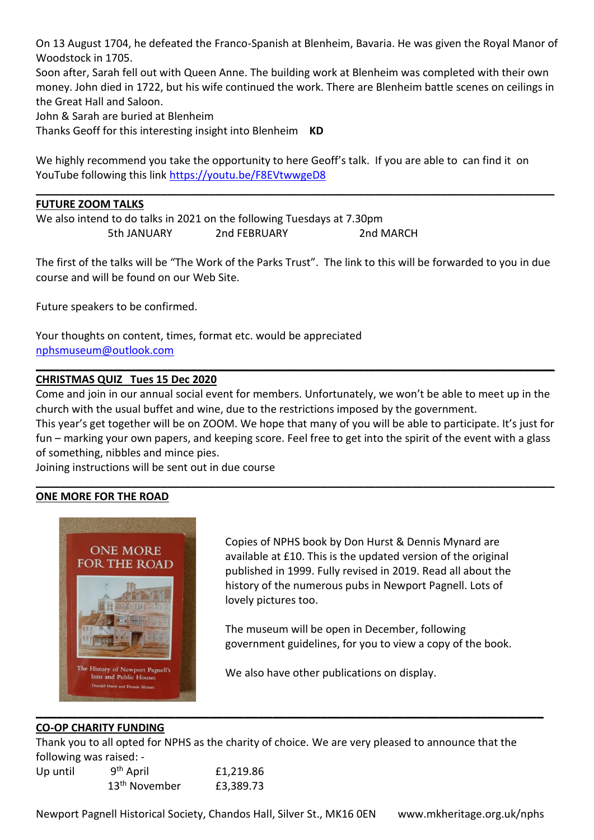On 13 August 1704, he defeated the Franco-Spanish at Blenheim, Bavaria. He was given the Royal Manor of Woodstock in 1705.

Soon after, Sarah fell out with Queen Anne. The building work at Blenheim was completed with their own money. John died in 1722, but his wife continued the work. There are Blenheim battle scenes on ceilings in the Great Hall and Saloon.

John & Sarah are buried at Blenheim

Thanks Geoff for this interesting insight into Blenheim **KD**

We highly recommend you take the opportunity to here Geoff's talk. If you are able to can find it on YouTube following this link<https://youtu.be/F8EVtwwgeD8>

**\_\_\_\_\_\_\_\_\_\_\_\_\_\_\_\_\_\_\_\_\_\_\_\_\_\_\_\_\_\_\_\_\_\_\_\_\_\_\_\_\_\_\_\_\_\_\_\_\_\_\_\_\_\_\_\_\_\_\_\_\_\_\_\_\_\_\_\_\_\_\_\_\_\_\_\_\_\_\_\_\_\_\_\_\_\_\_**

## **FUTURE ZOOM TALKS**

We also intend to do talks in 2021 on the following Tuesdays at 7.30pm 5th JANUARY 2nd FEBRUARY 2nd MARCH

The first of the talks will be "The Work of the Parks Trust". The link to this will be forwarded to you in due course and will be found on our Web Site.

Future speakers to be confirmed.

Your thoughts on content, times, format etc. would be appreciated [nphsmuseum@outlook.com](mailto:nphsmuseum@outlook.com)

## **CHRISTMAS QUIZ Tues 15 Dec 2020**

Come and join in our annual social event for members. Unfortunately, we won't be able to meet up in the church with the usual buffet and wine, due to the restrictions imposed by the government.

**\_\_\_\_\_\_\_\_\_\_\_\_\_\_\_\_\_\_\_\_\_\_\_\_\_\_\_\_\_\_\_\_\_\_\_\_\_\_\_\_\_\_\_\_\_\_\_\_\_\_\_\_\_\_\_\_\_\_\_\_\_\_\_\_\_\_\_\_\_\_\_\_\_\_\_\_\_\_\_\_\_\_\_\_\_\_\_**

This year's get together will be on ZOOM. We hope that many of you will be able to participate. It's just for fun – marking your own papers, and keeping score. Feel free to get into the spirit of the event with a glass of something, nibbles and mince pies.

**\_\_\_\_\_\_\_\_\_\_\_\_\_\_\_\_\_\_\_\_\_\_\_\_\_\_\_\_\_\_\_\_\_\_\_\_\_\_\_\_\_\_\_\_\_\_\_\_\_\_\_\_\_\_\_\_\_\_\_\_\_\_\_\_\_\_\_\_\_\_\_\_\_\_\_\_\_\_\_\_\_\_\_\_\_\_\_**

Joining instructions will be sent out in due course

#### **ONE MORE FOR THE ROAD**



Copies of NPHS book by Don Hurst & Dennis Mynard are available at £10. This is the updated version of the original published in 1999. Fully revised in 2019. Read all about the history of the numerous pubs in Newport Pagnell. Lots of lovely pictures too.

The museum will be open in December, following government guidelines, for you to view a copy of the book.

We also have other publications on display.

#### **CO-OP CHARITY FUNDING**

Thank you to all opted for NPHS as the charity of choice. We are very pleased to announce that the following was raised: -

| Up until | 9 <sup>th</sup> April     | £1,219.86 |
|----------|---------------------------|-----------|
|          | 13 <sup>th</sup> November | £3,389.73 |